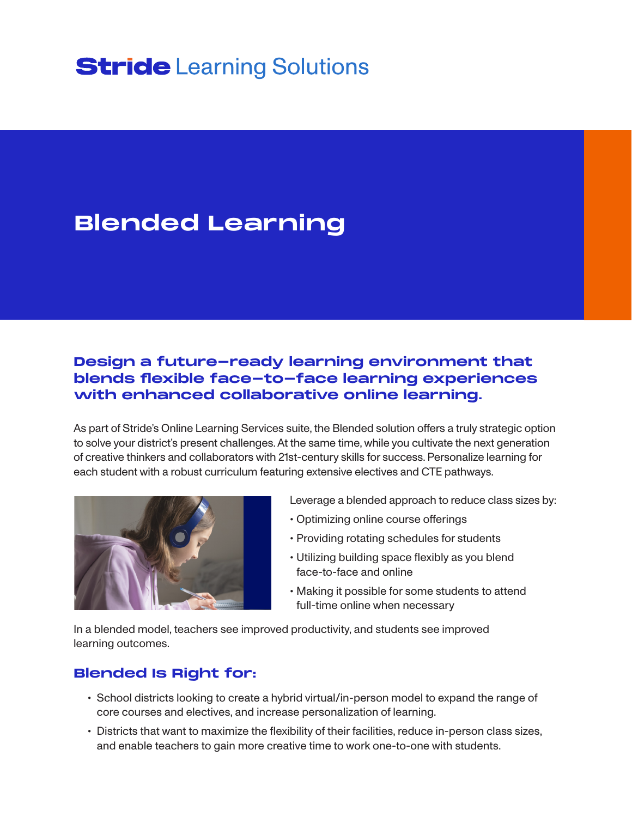# **Stride** Learning Solutions

## **Blended Learning**

## **Design a future-ready learning environment that blends flexible face-to-face learning experiences with enhanced collaborative online learning.**

As part of Stride's Online Learning Services suite, the Blended solution offers a truly strategic option to solve your district's present challenges. At the same time, while you cultivate the next generation of creative thinkers and collaborators with 21st-century skills for success. Personalize learning for each student with a robust curriculum featuring extensive electives and CTE pathways.



Leverage a blended approach to reduce class sizes by:

- Optimizing online course offerings
- Providing rotating schedules for students
- Utilizing building space flexibly as you blend face-to-face and online
- Making it possible for some students to attend full-time online when necessary

In a blended model, teachers see improved productivity, and students see improved learning outcomes.

## **Blended Is Right for:**

- School districts looking to create a hybrid virtual/in-person model to expand the range of core courses and electives, and increase personalization of learning.
- Districts that want to maximize the flexibility of their facilities, reduce in-person class sizes, and enable teachers to gain more creative time to work one-to-one with students.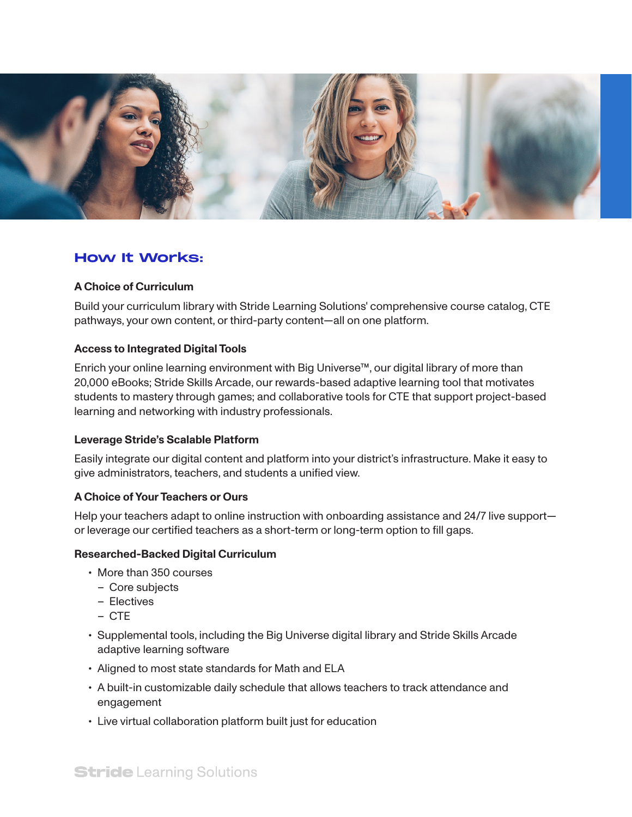

## **How It Works:**

#### **A Choice of Curriculum**

Build your curriculum library with Stride Learning Solutions' comprehensive course catalog, CTE pathways, your own content, or third-party content—all on one platform.

#### **Access to Integrated Digital Tools**

Enrich your online learning environment with Big Universe™, our digital library of more than 20,000 eBooks; Stride Skills Arcade, our rewards-based adaptive learning tool that motivates students to mastery through games; and collaborative tools for CTE that support project-based learning and networking with industry professionals.

#### **Leverage Stride's Scalable Platform**

Easily integrate our digital content and platform into your district's infrastructure. Make it easy to give administrators, teachers, and students a unified view.

#### **A Choice of Your Teachers or Ours**

Help your teachers adapt to online instruction with onboarding assistance and 24/7 live support or leverage our certified teachers as a short-term or long-term option to fill gaps.

#### **Researched-Backed Digital Curriculum**

- More than 350 courses
	- Core subjects
	- Electives
	- CTE
- Supplemental tools, including the Big Universe digital library and Stride Skills Arcade adaptive learning software
- Aligned to most state standards for Math and ELA
- A built-in customizable daily schedule that allows teachers to track attendance and engagement
- Live virtual collaboration platform built just for education